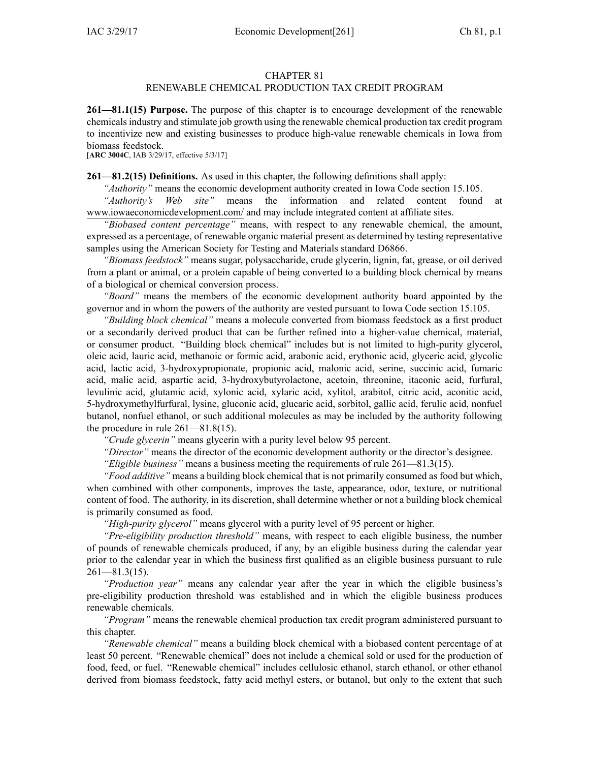#### CHAPTER 81

# RENEWABLE CHEMICAL PRODUCTION TAX CREDIT PROGRAM

**261—81.1(15) Purpose.** The purpose of this chapter is to encourage development of the renewable chemicalsindustry and stimulate job growth using the renewable chemical production tax credit program to incentivize new and existing businesses to produce high-value renewable chemicals in Iowa from biomass feedstock.

[**ARC [3004C](https://www.legis.iowa.gov/docs/aco/arc/3004C.pdf)**, IAB 3/29/17, effective 5/3/17]

**261—81.2(15) Definitions.** As used in this chapter, the following definitions shall apply:

*"Authority"* means the economic development authority created in Iowa Code section [15.105](https://www.legis.iowa.gov/docs/ico/section/2017/15.105.pdf).

*"Authority's Web site"* means the information and related content found at [www.iowaeconomicdevelopment.com/](http://www.iowaeconomicdevelopment.com/) and may include integrated content at affiliate sites.

*"Biobased content percentage"* means, with respec<sup>t</sup> to any renewable chemical, the amount, expressed as <sup>a</sup> percentage, of renewable organic material presen<sup>t</sup> as determined by testing representative samples using the American Society for Testing and Materials standard D6866.

*"Biomass feedstock"* means sugar, polysaccharide, crude glycerin, lignin, fat, grease, or oil derived from <sup>a</sup> plant or animal, or <sup>a</sup> protein capable of being converted to <sup>a</sup> building block chemical by means of <sup>a</sup> biological or chemical conversion process.

*"Board"* means the members of the economic development authority board appointed by the governor and in whom the powers of the authority are vested pursuan<sup>t</sup> to Iowa Code section [15.105](https://www.legis.iowa.gov/docs/ico/section/2017/15.105.pdf).

*"Building block chemical"* means <sup>a</sup> molecule converted from biomass feedstock as <sup>a</sup> first product or <sup>a</sup> secondarily derived product that can be further refined into <sup>a</sup> higher-value chemical, material, or consumer product. "Building block chemical" includes but is not limited to high-purity glycerol, oleic acid, lauric acid, methanoic or formic acid, arabonic acid, erythonic acid, glyceric acid, glycolic acid, lactic acid, 3-hydroxypropionate, propionic acid, malonic acid, serine, succinic acid, fumaric acid, malic acid, aspartic acid, 3-hydroxybutyrolactone, acetoin, threonine, itaconic acid, furfural, levulinic acid, glutamic acid, xylonic acid, xylaric acid, xylitol, arabitol, citric acid, aconitic acid, 5-hydroxymethylfurfural, lysine, gluconic acid, glucaric acid, sorbitol, gallic acid, ferulic acid, nonfuel butanol, nonfuel ethanol, or such additional molecules as may be included by the authority following the procedure in rule [261—81.8](https://www.legis.iowa.gov/docs/iac/rule/261.81.8.pdf)(15).

*"Crude glycerin"* means glycerin with <sup>a</sup> purity level below 95 percent.

*"Director"* means the director of the economic development authority or the director's designee.

*"Eligible business"* means <sup>a</sup> business meeting the requirements of rule [261—81.3](https://www.legis.iowa.gov/docs/iac/rule/261.81.3.pdf)(15).

*"Food additive"* means <sup>a</sup> building block chemical that is not primarily consumed as food but which, when combined with other components, improves the taste, appearance, odor, texture, or nutritional content of food. The authority, in its discretion, shall determine whether or not <sup>a</sup> building block chemical is primarily consumed as food.

*"High-purity glycerol"* means glycerol with <sup>a</sup> purity level of 95 percen<sup>t</sup> or higher.

*"Pre-eligibility production threshold"* means, with respec<sup>t</sup> to each eligible business, the number of pounds of renewable chemicals produced, if any, by an eligible business during the calendar year prior to the calendar year in which the business first qualified as an eligible business pursuan<sup>t</sup> to rule  $261 - 81.3(15)$ .

*"Production year"* means any calendar year after the year in which the eligible business's pre-eligibility production threshold was established and in which the eligible business produces renewable chemicals.

*"Program"* means the renewable chemical production tax credit program administered pursuan<sup>t</sup> to this chapter.

*"Renewable chemical"* means <sup>a</sup> building block chemical with <sup>a</sup> biobased content percentage of at least 50 percent. "Renewable chemical" does not include <sup>a</sup> chemical sold or used for the production of food, feed, or fuel. "Renewable chemical" includes cellulosic ethanol, starch ethanol, or other ethanol derived from biomass feedstock, fatty acid methyl esters, or butanol, but only to the extent that such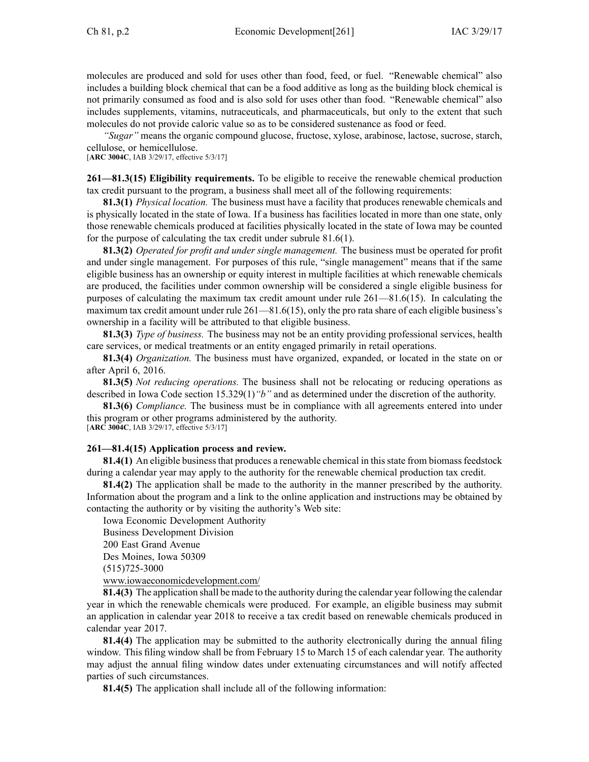molecules are produced and sold for uses other than food, feed, or fuel. "Renewable chemical" also includes <sup>a</sup> building block chemical that can be <sup>a</sup> food additive as long as the building block chemical is not primarily consumed as food and is also sold for uses other than food. "Renewable chemical" also includes supplements, vitamins, nutraceuticals, and pharmaceuticals, but only to the extent that such molecules do not provide caloric value so as to be considered sustenance as food or feed.

*"Sugar"* means the organic compound glucose, fructose, xylose, arabinose, lactose, sucrose, starch, cellulose, or hemicellulose.

[**ARC [3004C](https://www.legis.iowa.gov/docs/aco/arc/3004C.pdf)**, IAB 3/29/17, effective 5/3/17]

**261—81.3(15) Eligibility requirements.** To be eligible to receive the renewable chemical production tax credit pursuan<sup>t</sup> to the program, <sup>a</sup> business shall meet all of the following requirements:

**81.3(1)** *Physical location.* The business must have <sup>a</sup> facility that produces renewable chemicals and is physically located in the state of Iowa. If <sup>a</sup> business has facilities located in more than one state, only those renewable chemicals produced at facilities physically located in the state of Iowa may be counted for the purpose of calculating the tax credit under subrule [81.6\(1\)](https://www.legis.iowa.gov/docs/iac/rule/261.81.6.pdf).

**81.3(2)** *Operated for profit and under single management.* The business must be operated for profit and under single management. For purposes of this rule, "single management" means that if the same eligible business has an ownership or equity interest in multiple facilities at which renewable chemicals are produced, the facilities under common ownership will be considered <sup>a</sup> single eligible business for purposes of calculating the maximum tax credit amount under rule [261—81.6](https://www.legis.iowa.gov/docs/iac/rule/261.81.6.pdf)(15). In calculating the maximum tax credit amount under rule [261—81.6](https://www.legis.iowa.gov/docs/iac/rule/261.81.6.pdf)(15), only the pro rata share of each eligible business's ownership in <sup>a</sup> facility will be attributed to that eligible business.

**81.3(3)** *Type of business.* The business may not be an entity providing professional services, health care services, or medical treatments or an entity engaged primarily in retail operations.

**81.3(4)** *Organization.* The business must have organized, expanded, or located in the state on or after April 6, 2016.

**81.3(5)** *Not reducing operations.* The business shall not be relocating or reducing operations as described in Iowa Code section [15.329\(1\)](https://www.legis.iowa.gov/docs/ico/section/2017/15.329.pdf)*"b"* and as determined under the discretion of the authority.

**81.3(6)** *Compliance.* The business must be in compliance with all agreements entered into under this program or other programs administered by the authority.

[**ARC [3004C](https://www.legis.iowa.gov/docs/aco/arc/3004C.pdf)**, IAB 3/29/17, effective 5/3/17]

## **261—81.4(15) Application process and review.**

**81.4(1)** An eligible business that produces a renewable chemical in this state from biomass feedstock during <sup>a</sup> calendar year may apply to the authority for the renewable chemical production tax credit.

**81.4(2)** The application shall be made to the authority in the manner prescribed by the authority. Information about the program and <sup>a</sup> link to the online application and instructions may be obtained by contacting the authority or by visiting the authority's Web site:

Iowa Economic Development Authority Business Development Division 200 East Grand Avenue Des Moines, Iowa 50309 (515)725-3000 [www.iowaeconomicdevelopment.com/](http://www.iowaeconomicdevelopment.com/)

**81.4(3)** The application shall be made to the authority during the calendar year following the calendar year in which the renewable chemicals were produced. For example, an eligible business may submit an application in calendar year 2018 to receive <sup>a</sup> tax credit based on renewable chemicals produced in calendar year 2017.

**81.4(4)** The application may be submitted to the authority electronically during the annual filing window. This filing window shall be from February 15 to March 15 of each calendar year. The authority may adjust the annual filing window dates under extenuating circumstances and will notify affected parties of such circumstances.

**81.4(5)** The application shall include all of the following information: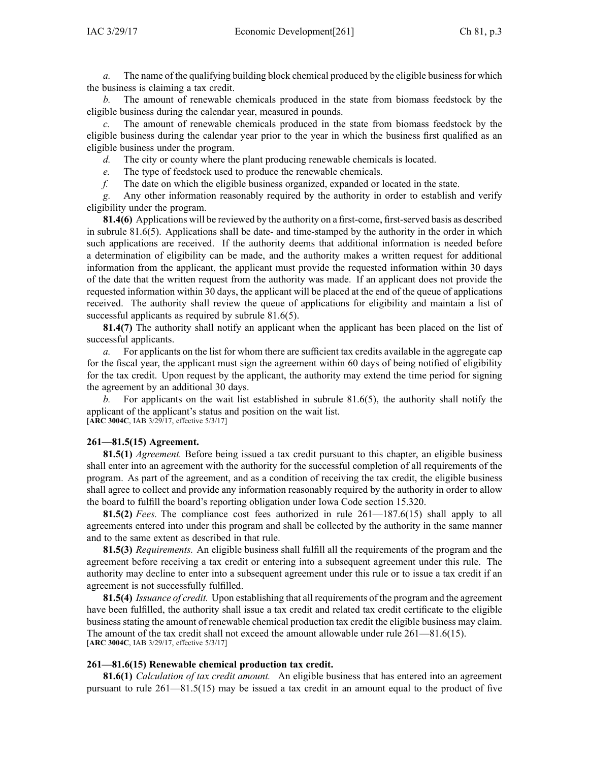*a.* The name of the qualifying building block chemical produced by the eligible businessfor which the business is claiming <sup>a</sup> tax credit.

*b.* The amount of renewable chemicals produced in the state from biomass feedstock by the eligible business during the calendar year, measured in pounds.

*c.* The amount of renewable chemicals produced in the state from biomass feedstock by the eligible business during the calendar year prior to the year in which the business first qualified as an eligible business under the program.

*d.* The city or county where the plant producing renewable chemicals is located.

*e.* The type of feedstock used to produce the renewable chemicals.

*f.* The date on which the eligible business organized, expanded or located in the state.

*g.* Any other information reasonably required by the authority in order to establish and verify eligibility under the program.

**81.4(6)** Applications will be reviewed by the authority on <sup>a</sup> first-come, first-served basis as described in subrule [81.6\(5\)](https://www.legis.iowa.gov/docs/iac/rule/261.81.6.pdf). Applications shall be date- and time-stamped by the authority in the order in which such applications are received. If the authority deems that additional information is needed before <sup>a</sup> determination of eligibility can be made, and the authority makes <sup>a</sup> written reques<sup>t</sup> for additional information from the applicant, the applicant must provide the requested information within 30 days of the date that the written reques<sup>t</sup> from the authority was made. If an applicant does not provide the requested information within 30 days, the applicant will be placed at the end of the queue of applications received. The authority shall review the queue of applications for eligibility and maintain <sup>a</sup> list of successful applicants as required by subrule [81.6\(5\)](https://www.legis.iowa.gov/docs/iac/rule/261.81.6.pdf).

**81.4(7)** The authority shall notify an applicant when the applicant has been placed on the list of successful applicants.

*a.* For applicants on the list for whom there are sufficient tax credits available in the aggregate cap for the fiscal year, the applicant must sign the agreemen<sup>t</sup> within 60 days of being notified of eligibility for the tax credit. Upon reques<sup>t</sup> by the applicant, the authority may extend the time period for signing the agreemen<sup>t</sup> by an additional 30 days.

*b.* For applicants on the wait list established in subrule 81.6(5), the authority shall notify the applicant of the applicant's status and position on the wait list. [**ARC [3004C](https://www.legis.iowa.gov/docs/aco/arc/3004C.pdf)**, IAB 3/29/17, effective 5/3/17]

#### **261—81.5(15) Agreement.**

**81.5(1)** *Agreement.* Before being issued <sup>a</sup> tax credit pursuan<sup>t</sup> to this chapter, an eligible business shall enter into an agreemen<sup>t</sup> with the authority for the successful completion of all requirements of the program. As par<sup>t</sup> of the agreement, and as <sup>a</sup> condition of receiving the tax credit, the eligible business shall agree to collect and provide any information reasonably required by the authority in order to allow the board to fulfill the board's reporting obligation under Iowa Code section [15.320](https://www.legis.iowa.gov/docs/ico/section/2017/15.320.pdf).

**81.5(2)** *Fees.* The compliance cost fees authorized in rule [261—187.6\(](https://www.legis.iowa.gov/docs/iac/rule/261.187.6.pdf)15) shall apply to all agreements entered into under this program and shall be collected by the authority in the same manner and to the same extent as described in that rule.

**81.5(3)** *Requirements.* An eligible business shall fulfill all the requirements of the program and the agreemen<sup>t</sup> before receiving <sup>a</sup> tax credit or entering into <sup>a</sup> subsequent agreemen<sup>t</sup> under this rule. The authority may decline to enter into <sup>a</sup> subsequent agreemen<sup>t</sup> under this rule or to issue <sup>a</sup> tax credit if an agreemen<sup>t</sup> is not successfully fulfilled.

**81.5(4)** *Issuance of credit.* Upon establishing that all requirements of the program and the agreemen<sup>t</sup> have been fulfilled, the authority shall issue <sup>a</sup> tax credit and related tax credit certificate to the eligible business stating the amount of renewable chemical production tax credit the eligible business may claim. The amount of the tax credit shall not exceed the amount allowable under rule [261—81.6](https://www.legis.iowa.gov/docs/iac/rule/261.81.6.pdf)(15). [**ARC [3004C](https://www.legis.iowa.gov/docs/aco/arc/3004C.pdf)**, IAB 3/29/17, effective 5/3/17]

#### **261—81.6(15) Renewable chemical production tax credit.**

**81.6(1)** *Calculation of tax credit amount.* An eligible business that has entered into an agreemen<sup>t</sup> pursuan<sup>t</sup> to rule [261—81.5](https://www.legis.iowa.gov/docs/iac/rule/261.81.5.pdf)(15) may be issued <sup>a</sup> tax credit in an amount equal to the product of five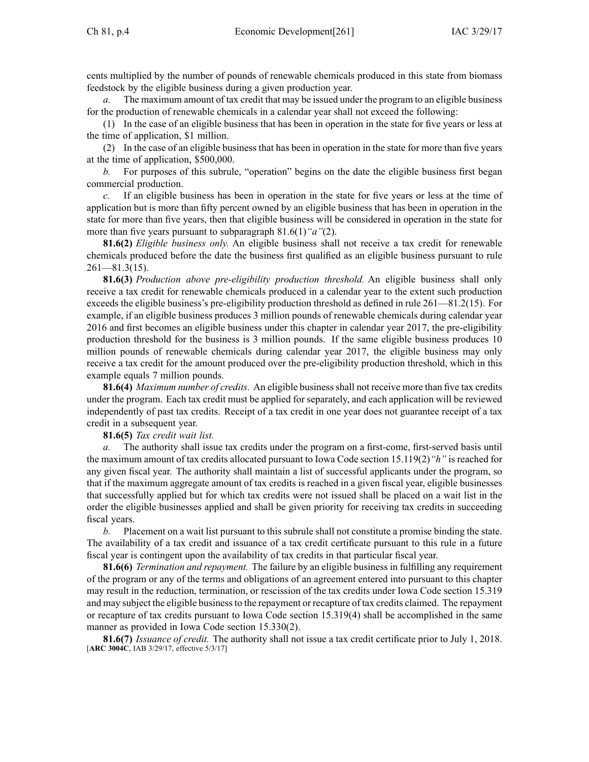cents multiplied by the number of pounds of renewable chemicals produced in this state from biomass feedstock by the eligible business during <sup>a</sup> given production year.

*a.* The maximum amount of tax credit that may be issued under the program to an eligible business for the production of renewable chemicals in <sup>a</sup> calendar year shall not exceed the following:

(1) In the case of an eligible business that has been in operation in the state for five years or less at the time of application, \$1 million.

(2) In the case of an eligible business that has been in operation in the state for more than five years at the time of application, \$500,000.

*b.* For purposes of this subrule, "operation" begins on the date the eligible business first began commercial production.

*c.* If an eligible business has been in operation in the state for five years or less at the time of application but is more than fifty percen<sup>t</sup> owned by an eligible business that has been in operation in the state for more than five years, then that eligible business will be considered in operation in the state for more than five years pursuan<sup>t</sup> to subparagraph [81.6\(1\)](https://www.legis.iowa.gov/docs/iac/rule/261.81.6.pdf)*"a"*(2).

**81.6(2)** *Eligible business only.* An eligible business shall not receive <sup>a</sup> tax credit for renewable chemicals produced before the date the business first qualified as an eligible business pursuan<sup>t</sup> to rule  $261 - 81.3(15)$ .

**81.6(3)** *Production above pre-eligibility production threshold.* An eligible business shall only receive <sup>a</sup> tax credit for renewable chemicals produced in <sup>a</sup> calendar year to the extent such production exceeds the eligible business's pre-eligibility production threshold as defined in rule [261—81.2](https://www.legis.iowa.gov/docs/iac/rule/261.81.2.pdf)(15). For example, if an eligible business produces 3 million pounds of renewable chemicals during calendar year 2016 and first becomes an eligible business under this chapter in calendar year 2017, the pre-eligibility production threshold for the business is 3 million pounds. If the same eligible business produces 10 million pounds of renewable chemicals during calendar year 2017, the eligible business may only receive <sup>a</sup> tax credit for the amount produced over the pre-eligibility production threshold, which in this example equals 7 million pounds.

**81.6(4)** *Maximum number of credits.* An eligible businessshall not receive more than five tax credits under the program. Each tax credit must be applied for separately, and each application will be reviewed independently of pas<sup>t</sup> tax credits. Receipt of <sup>a</sup> tax credit in one year does not guarantee receipt of <sup>a</sup> tax credit in <sup>a</sup> subsequent year.

**81.6(5)** *Tax credit wait list.*

*a.* The authority shall issue tax credits under the program on <sup>a</sup> first-come, first-served basis until the maximum amount of tax credits allocated pursuan<sup>t</sup> to Iowa Code section [15.119\(2\)](https://www.legis.iowa.gov/docs/ico/section/2017/15.119.pdf)*"h"* is reached for any given fiscal year. The authority shall maintain <sup>a</sup> list of successful applicants under the program, so that if the maximum aggregate amount of tax credits is reached in <sup>a</sup> given fiscal year, eligible businesses that successfully applied but for which tax credits were not issued shall be placed on <sup>a</sup> wait list in the order the eligible businesses applied and shall be given priority for receiving tax credits in succeeding fiscal years.

*b.* Placement on <sup>a</sup> wait list pursuan<sup>t</sup> to this subrule shall not constitute <sup>a</sup> promise binding the state. The availability of <sup>a</sup> tax credit and issuance of <sup>a</sup> tax credit certificate pursuan<sup>t</sup> to this rule in <sup>a</sup> future fiscal year is contingent upon the availability of tax credits in that particular fiscal year.

**81.6(6)** *Termination and repayment.* The failure by an eligible business in fulfilling any requirement of the program or any of the terms and obligations of an agreemen<sup>t</sup> entered into pursuan<sup>t</sup> to this chapter may result in the reduction, termination, or rescission of the tax credits under Iowa Code section [15.319](https://www.legis.iowa.gov/docs/ico/section/2017/15.319.pdf) and may subject the eligible businessto the repaymen<sup>t</sup> or recapture of tax credits claimed. The repaymen<sup>t</sup> or recapture of tax credits pursuan<sup>t</sup> to Iowa Code section [15.319\(4\)](https://www.legis.iowa.gov/docs/ico/section/2017/15.319.pdf) shall be accomplished in the same manner as provided in Iowa Code section [15.330\(2\)](https://www.legis.iowa.gov/docs/ico/section/2017/15.330.pdf).

**81.6(7)** *Issuance of credit.* The authority shall not issue <sup>a</sup> tax credit certificate prior to July 1, 2018. [**ARC [3004C](https://www.legis.iowa.gov/docs/aco/arc/3004C.pdf)**, IAB 3/29/17, effective 5/3/17]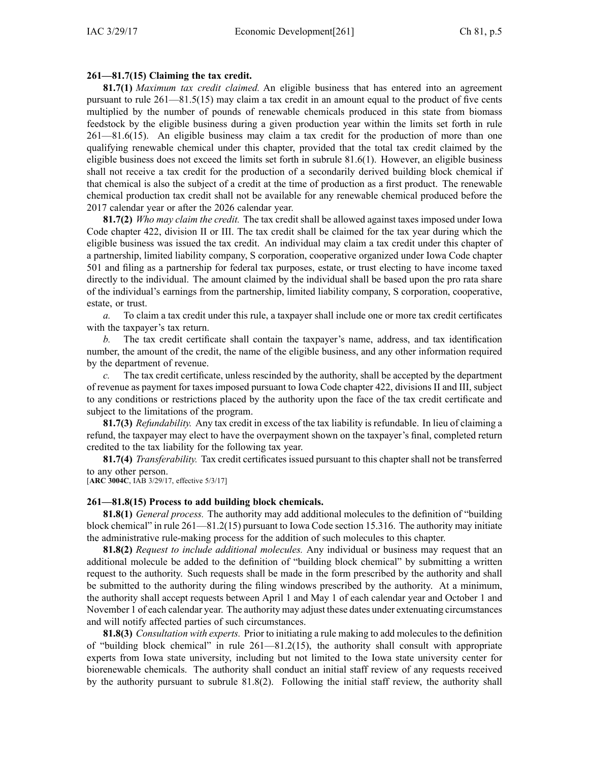### **261—81.7(15) Claiming the tax credit.**

**81.7(1)** *Maximum tax credit claimed.* An eligible business that has entered into an agreemen<sup>t</sup> pursuan<sup>t</sup> to rule [261—81.5\(](https://www.legis.iowa.gov/docs/iac/rule/261.81.5.pdf)15) may claim <sup>a</sup> tax credit in an amount equal to the product of five cents multiplied by the number of pounds of renewable chemicals produced in this state from biomass feedstock by the eligible business during <sup>a</sup> given production year within the limits set forth in rule [261—81.6](https://www.legis.iowa.gov/docs/iac/rule/261.81.6.pdf)(15). An eligible business may claim <sup>a</sup> tax credit for the production of more than one qualifying renewable chemical under this chapter, provided that the total tax credit claimed by the eligible business does not exceed the limits set forth in subrule [81.6\(1\)](https://www.legis.iowa.gov/docs/iac/rule/281.81.6.pdf). However, an eligible business shall not receive <sup>a</sup> tax credit for the production of <sup>a</sup> secondarily derived building block chemical if that chemical is also the subject of <sup>a</sup> credit at the time of production as <sup>a</sup> first product. The renewable chemical production tax credit shall not be available for any renewable chemical produced before the 2017 calendar year or after the 2026 calendar year.

**81.7(2)** *Who may claim the credit.* The tax credit shall be allowed against taxes imposed under Iowa Code chapter [422](https://www.legis.iowa.gov/docs/ico/chapter/2017/422.pdf), division II or III. The tax credit shall be claimed for the tax year during which the eligible business was issued the tax credit. An individual may claim <sup>a</sup> tax credit under this chapter of <sup>a</sup> partnership, limited liability company, S corporation, cooperative organized under Iowa Code chapter [501](https://www.legis.iowa.gov/docs/ico/chapter/2017/501.pdf) and filing as <sup>a</sup> partnership for federal tax purposes, estate, or trust electing to have income taxed directly to the individual. The amount claimed by the individual shall be based upon the pro rata share of the individual's earnings from the partnership, limited liability company, S corporation, cooperative, estate, or trust.

*a.* To claim <sup>a</sup> tax credit under this rule, <sup>a</sup> taxpayer shall include one or more tax credit certificates with the taxpayer's tax return.

*b.* The tax credit certificate shall contain the taxpayer's name, address, and tax identification number, the amount of the credit, the name of the eligible business, and any other information required by the department of revenue.

*c.* The tax credit certificate, unless rescinded by the authority, shall be accepted by the department of revenue as paymen<sup>t</sup> for taxes imposed pursuan<sup>t</sup> to Iowa Code chapter [422](https://www.legis.iowa.gov/docs/ico/chapter/2017/422.pdf), divisions II and III, subject to any conditions or restrictions placed by the authority upon the face of the tax credit certificate and subject to the limitations of the program.

**81.7(3)** *Refundability.* Any tax credit in excess of the tax liability is refundable. In lieu of claiming <sup>a</sup> refund, the taxpayer may elect to have the overpaymen<sup>t</sup> shown on the taxpayer's final, completed return credited to the tax liability for the following tax year.

**81.7(4)** *Transferability.* Tax credit certificates issued pursuan<sup>t</sup> to this chapter shall not be transferred to any other person.

[**ARC [3004C](https://www.legis.iowa.gov/docs/aco/arc/3004C.pdf)**, IAB 3/29/17, effective 5/3/17]

### **261—81.8(15) Process to add building block chemicals.**

**81.8(1)** *General process.* The authority may add additional molecules to the definition of "building block chemical" in rule [261—81.2](https://www.legis.iowa.gov/docs/iac/rule/261.81.2.pdf)(15) pursuan<sup>t</sup> to Iowa Code section [15.316](https://www.legis.iowa.gov/docs/ico/section/2017/15.316.pdf). The authority may initiate the administrative rule-making process for the addition of such molecules to this chapter.

**81.8(2)** *Request to include additional molecules.* Any individual or business may reques<sup>t</sup> that an additional molecule be added to the definition of "building block chemical" by submitting <sup>a</sup> written reques<sup>t</sup> to the authority. Such requests shall be made in the form prescribed by the authority and shall be submitted to the authority during the filing windows prescribed by the authority. At <sup>a</sup> minimum, the authority shall accep<sup>t</sup> requests between April 1 and May 1 of each calendar year and October 1 and November 1 of each calendar year. The authority may adjust these dates under extenuating circumstances and will notify affected parties of such circumstances.

**81.8(3)** *Consultation with experts.* Prior to initiating <sup>a</sup> rule making to add molecules to the definition of "building block chemical" in rule [261—81.2](https://www.legis.iowa.gov/docs/iac/rule/261.81.2.pdf)(15), the authority shall consult with appropriate experts from Iowa state university, including but not limited to the Iowa state university center for biorenewable chemicals. The authority shall conduct an initial staff review of any requests received by the authority pursuan<sup>t</sup> to subrule [81.8\(2\)](https://www.legis.iowa.gov/docs/iac/rule/261.81.8.pdf). Following the initial staff review, the authority shall